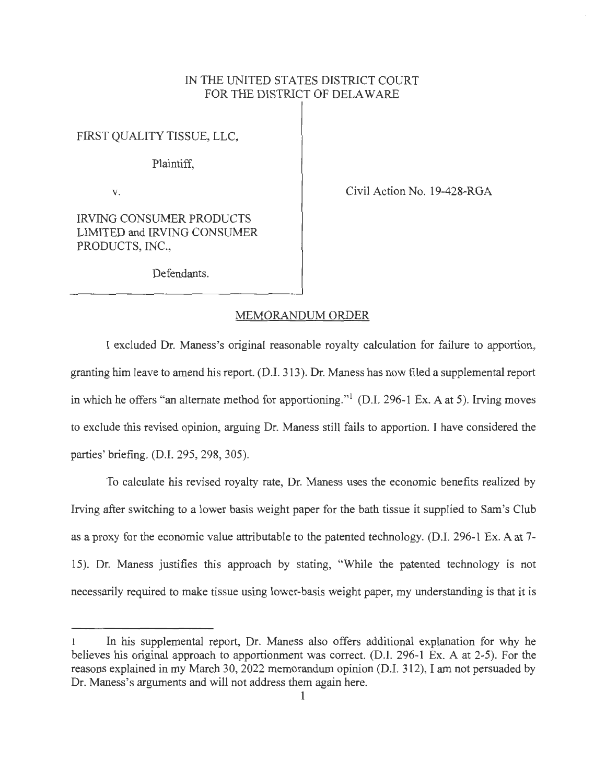## IN THE UNITED STATES DISTRICT COURT FOR THE DISTRICT OF DELAWARE

FIRST QUALITY TISSUE, LLC,

Plaintiff,

V.

Civil Action No. 19-428-RGA

IRVING CONSUMER PRODUCTS LIMITED and IRVING CONSUMER PRODUCTS, INC.,

Defendants.

## MEMORANDUM ORDER

I excluded Dr. Maness's original reasonable royalty calculation for failure to apportion, granting him leave to amend his report. (D.I. 313). Dr. Maness has now filed a supplemental report in which he offers "an alternate method for apportioning."<sup>1</sup> (D.I. 296-1 Ex. A at 5). Irving moves to exclude this revised opinion, arguing Dr. Maness still fails to apportion. I have considered the parties' briefing. (D.I. 295, 298, 305).

To calculate his revised royalty rate, Dr. Maness uses the economic benefits realized by Irving after switching to a lower basis weight paper for the bath tissue it supplied to Sam's Club as a proxy for the economic value attributable to the patented technology. (D.I. 296-1 Ex. A at 7- 15). Dr. Maness justifies this approach by stating, "While the patented technology is not necessarily required to make tissue using lower-basis weight paper, my understanding is that it is

<sup>1</sup> In his supplemental report, Dr. Maness also offers additional explanation for why he believes his original approach to apportionment was correct. (D.I. 296-1 Ex. A at 2-5). For the reasons explained in my March 30, 2022 memorandum opinion (D.I. 312), I am not persuaded by Dr. Maness's arguments and will not address them again here.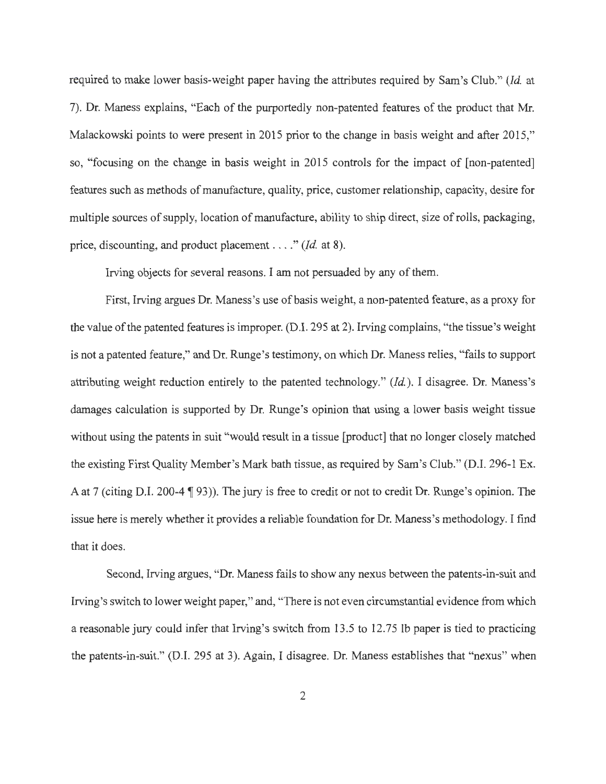required to make lower basis-weight paper having the attributes required by Sam's Club." *(Id* at 7). Dr. Maness explains, "Each of the purportedly non-patented features of the product that Mr. Malackowski points to were present in 2015 prior to the change in basis weight and after 2015," so, "focusing on the change in basis weight in 2015 controls for the impact of [non-patented] features such as methods of manufacture, quality, price, customer relationship, capacity, desire for multiple sources of supply, location of manufacture, ability to ship direct, size of rolls, packaging, price, discounting, and product placement . . . ." *(Id.* at 8).

Irving objects for several reasons. I am not persuaded by any of them.

First, Irving argues Dr. Maness's use of basis weight, a non-patented feature, as a proxy for the value of the patented features is improper. (D.I. 295 at 2). Irving complains, "the tissue's weight is not a patented feature," and Dr. Runge's testimony, on which Dr. Maness relies, "fails to support attributing weight reduction entirely to the patented technology." *(Id).* I disagree. Dr. Maness's damages calculation is supported by Dr. Runge's opinion that using a lower basis weight tissue without using the patents in suit "would result in a tissue [product] that no longer closely matched the existing First Quality Member's Mark bath tissue, as required by Sam's Club." (D.I. 296-1 Ex. A at 7 (citing D.I. 200-4 ¶ 93)). The jury is free to credit or not to credit Dr. Runge's opinion. The issue here is merely whether it provides a reliable foundation for Dr. Maness's methodology. I find that it does.

Second, Irving argues, "Dr. Maness fails to show any nexus between the patents-in-suit and Irving's switch to lower weight paper," and, "There is not even circumstantial evidence from which a reasonable jury could infer that Irving's switch from 13.5 to 12.75 lb paper is tied to practicing the patents-in-suit." (D.I. 295 at 3). Again, I disagree. Dr. Maness establishes that "nexus" when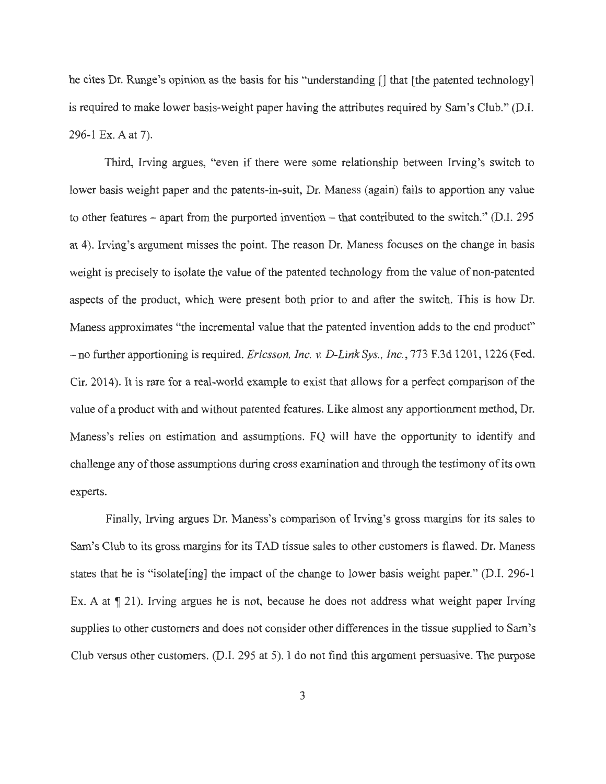he cites Dr. Runge's opinion as the basis for his "understanding [] that [the patented technology] is required to make lower basis-weight paper having the attributes required by Sam's Club." (D.I. 296-1 Ex. A at 7).

Third, Irving argues, "even if there were some relationship between Irving's switch to lower basis weight paper and the patents-in-suit, Dr. Maness (again) fails to apportion any value to other features – apart from the purported invention – that contributed to the switch." (D.I. 295) at 4). Irving's argument misses the point. The reason Dr. Maness focuses on the change in basis weight is precisely to isolate the value of the patented technology from the value of non-patented aspects of the product, which were present both prior to and after the switch. This is how Dr. Maness approximates "the incremental value that the patented invention adds to the end product" - no further apportioning is required. *Ericsson, Inc. v. D-Link Sys., Inc.*, 773 F.3d 1201, 1226 (Fed. Cir. 2014). It is rare for a real-world example to exist that allows for a perfect comparison of the value of a product with and without patented features. Like almost any apportionment method, Dr. Maness's relies on estimation and assumptions. FQ will have the opportunity to identify and challenge any of those assumptions during cross examination and through the testimony of its own experts.

Finally, Irving argues Dr. Maness's comparison of Irving's gross margins for its sales to Sam's Club to its gross margins for its TAD tissue sales to other customers is flawed. Dr. Maness states that he is "isolate[ing] the impact of the change to lower basis weight paper." (D.I. 296-1 Ex. A at  $\P$  21). Irving argues he is not, because he does not address what weight paper Irving supplies to other customers and does not consider other differences in the tissue supplied to Sam's Club versus other customers. (D.I. 295 at 5). I do not find this argument persuasive. The purpose